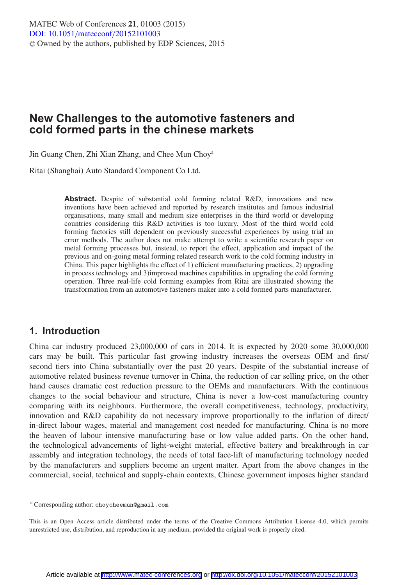# **New Challenges to the automotive fasteners and cold formed parts in the chinese markets**

Jin Guang Chen, Zhi Xian Zhang, and Chee Mun Choya

Ritai (Shanghai) Auto Standard Component Co Ltd.

**Abstract.** Despite of substantial cold forming related R&D, innovations and new inventions have been achieved and reported by research institutes and famous industrial organisations, many small and medium size enterprises in the third world or developing countries considering this R&D activities is too luxury. Most of the third world cold forming factories still dependent on previously successful experiences by using trial an error methods. The author does not make attempt to write a scientific research paper on metal forming processes but, instead, to report the effect, application and impact of the previous and on-going metal forming related research work to the cold forming industry in China. This paper highlights the effect of 1) efficient manufacturing practices, 2) upgrading in process technology and 3)improved machines capabilities in upgrading the cold forming operation. Three real-life cold forming examples from Ritai are illustrated showing the transformation from an automotive fasteners maker into a cold formed parts manufacturer.

## **1. Introduction**

China car industry produced 23,000,000 of cars in 2014. It is expected by 2020 some 30,000,000 cars may be built. This particular fast growing industry increases the overseas OEM and first/ second tiers into China substantially over the past 20 years. Despite of the substantial increase of automotive related business revenue turnover in China, the reduction of car selling price, on the other hand causes dramatic cost reduction pressure to the OEMs and manufacturers. With the continuous changes to the social behaviour and structure, China is never a low-cost manufacturing country comparing with its neighbours. Furthermore, the overall competitiveness, technology, productivity, innovation and R&D capability do not necessary improve proportionally to the inflation of direct/ in-direct labour wages, material and management cost needed for manufacturing. China is no more the heaven of labour intensive manufacturing base or low value added parts. On the other hand, the technological advancements of light-weight material, effective battery and breakthrough in car assembly and integration technology, the needs of total face-lift of manufacturing technology needed by the manufacturers and suppliers become an urgent matter. Apart from the above changes in the commercial, social, technical and supply-chain contexts, Chinese government imposes higher standard

<sup>a</sup> Corresponding author: choycheemun@gmail.com

This is an Open Access article distributed under the terms of the Creative Commons Attribution License 4.0, which permits unrestricted use, distribution, and reproduction in any medium, provided the original work is properly cited.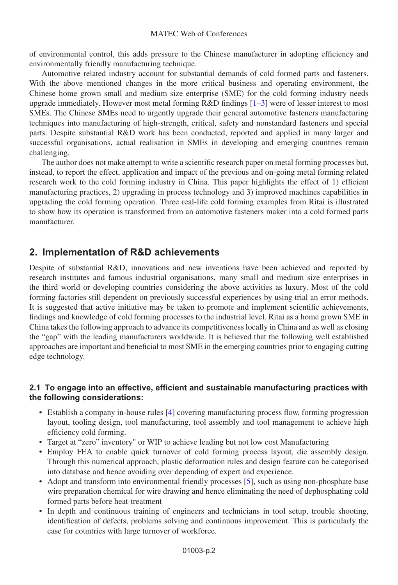of environmental control, this adds pressure to the Chinese manufacturer in adopting efficiency and environmentally friendly manufacturing technique.

Automotive related industry account for substantial demands of cold formed parts and fasteners. With the above mentioned changes in the more critical business and operating environment, the Chinese home grown small and medium size enterprise (SME) for the cold forming industry needs upgrade immediately. However most metal forming R&D findings [\[1](#page-6-0)[–3](#page-6-1)] were of lesser interest to most SMEs. The Chinese SMEs need to urgently upgrade their general automotive fasteners manufacturing techniques into manufacturing of high-strength, critical, safety and nonstandard fasteners and special parts. Despite substantial R&D work has been conducted, reported and applied in many larger and successful organisations, actual realisation in SMEs in developing and emerging countries remain challenging.

The author does not make attempt to write a scientific research paper on metal forming processes but, instead, to report the effect, application and impact of the previous and on-going metal forming related research work to the cold forming industry in China. This paper highlights the effect of 1) efficient manufacturing practices, 2) upgrading in process technology and 3) improved machines capabilities in upgrading the cold forming operation. Three real-life cold forming examples from Ritai is illustrated to show how its operation is transformed from an automotive fasteners maker into a cold formed parts manufacturer.

## **2. Implementation of R&D achievements**

Despite of substantial R&D, innovations and new inventions have been achieved and reported by research institutes and famous industrial organisations, many small and medium size enterprises in the third world or developing countries considering the above activities as luxury. Most of the cold forming factories still dependent on previously successful experiences by using trial an error methods. It is suggested that active initiative may be taken to promote and implement scientific achievements, findings and knowledge of cold forming processes to the industrial level. Ritai as a home grown SME in China takes the following approach to advance its competitiveness locally in China and as well as closing the "gap" with the leading manufacturers worldwide. It is believed that the following well established approaches are important and beneficial to most SME in the emerging countries prior to engaging cutting edge technology.

### **2.1 To engage into an effective, efficient and sustainable manufacturing practices with the following considerations:**

- Establish a company in-house rules [\[4\]](#page-7-0) covering manufacturing process flow, forming progression layout, tooling design, tool manufacturing, tool assembly and tool management to achieve high efficiency cold forming.
- Target at "zero" inventory" or WIP to achieve leading but not low cost Manufacturing
- Employ FEA to enable quick turnover of cold forming process layout, die assembly design. Through this numerical approach, plastic deformation rules and design feature can be categorised into database and hence avoiding over depending of expert and experience.
- Adopt and transform into environmental friendly processes [\[5\]](#page-7-1), such as using non-phosphate base wire preparation chemical for wire drawing and hence eliminating the need of dephosphating cold formed parts before heat-treatment
- In depth and continuous training of engineers and technicians in tool setup, trouble shooting, identification of defects, problems solving and continuous improvement. This is particularly the case for countries with large turnover of workforce.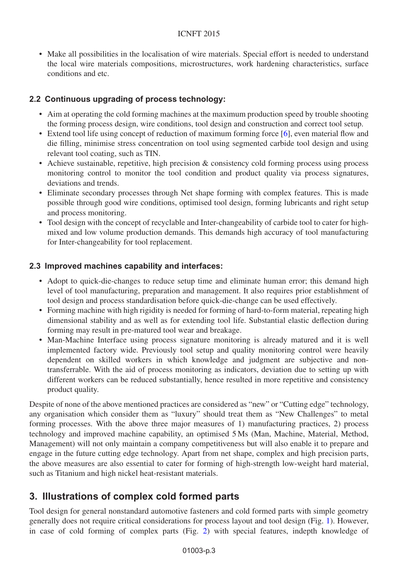#### ICNFT 2015

• Make all possibilities in the localisation of wire materials. Special effort is needed to understand the local wire materials compositions, microstructures, work hardening characteristics, surface conditions and etc.

### **2.2 Continuous upgrading of process technology:**

- Aim at operating the cold forming machines at the maximum production speed by trouble shooting the forming process design, wire conditions, tool design and construction and correct tool setup.
- Extend tool life using concept of reduction of maximum forming force [\[6](#page-7-2)], even material flow and die filling, minimise stress concentration on tool using segmented carbide tool design and using relevant tool coating, such as TIN.
- Achieve sustainable, repetitive, high precision & consistency cold forming process using process monitoring control to monitor the tool condition and product quality via process signatures, deviations and trends.
- Eliminate secondary processes through Net shape forming with complex features. This is made possible through good wire conditions, optimised tool design, forming lubricants and right setup and process monitoring.
- Tool design with the concept of recyclable and Inter-changeability of carbide tool to cater for highmixed and low volume production demands. This demands high accuracy of tool manufacturing for Inter-changeability for tool replacement.

### **2.3 Improved machines capability and interfaces:**

- Adopt to quick-die-changes to reduce setup time and eliminate human error; this demand high level of tool manufacturing, preparation and management. It also requires prior establishment of tool design and process standardisation before quick-die-change can be used effectively.
- Forming machine with high rigidity is needed for forming of hard-to-form material, repeating high dimensional stability and as well as for extending tool life. Substantial elastic deflection during forming may result in pre-matured tool wear and breakage.
- Man-Machine Interface using process signature monitoring is already matured and it is well implemented factory wide. Previously tool setup and quality monitoring control were heavily dependent on skilled workers in which knowledge and judgment are subjective and nontransferrable. With the aid of process monitoring as indicators, deviation due to setting up with different workers can be reduced substantially, hence resulted in more repetitive and consistency product quality.

Despite of none of the above mentioned practices are considered as "new" or "Cutting edge" technology, any organisation which consider them as "luxury" should treat them as "New Challenges" to metal forming processes. With the above three major measures of 1) manufacturing practices, 2) process technology and improved machine capability, an optimised 5 Ms (Man, Machine, Material, Method, Management) will not only maintain a company competitiveness but will also enable it to prepare and engage in the future cutting edge technology. Apart from net shape, complex and high precision parts, the above measures are also essential to cater for forming of high-strength low-weight hard material, such as Titanium and high nickel heat-resistant materials.

# **3. Illustrations of complex cold formed parts**

Tool design for general nonstandard automotive fasteners and cold formed parts with simple geometry generally does not require critical considerations for process layout and tool design (Fig. [1\)](#page-3-0). However, in case of cold forming of complex parts (Fig. [2\)](#page-3-1) with special features, indepth knowledge of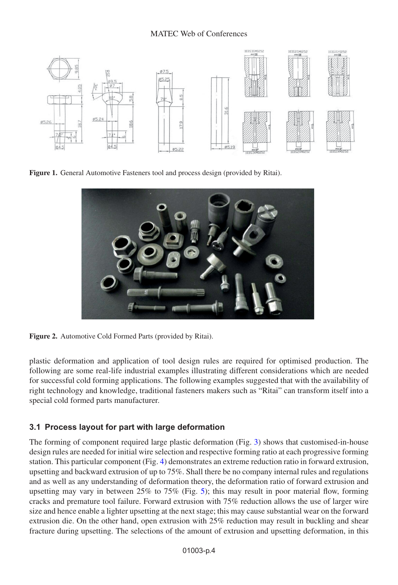<span id="page-3-0"></span>

**Figure 1.** General Automotive Fasteners tool and process design (provided by Ritai).

<span id="page-3-1"></span>

**Figure 2.** Automotive Cold Formed Parts (provided by Ritai).

plastic deformation and application of tool design rules are required for optimised production. The following are some real-life industrial examples illustrating different considerations which are needed for successful cold forming applications. The following examples suggested that with the availability of right technology and knowledge, traditional fasteners makers such as "Ritai" can transform itself into a special cold formed parts manufacturer.

### **3.1 Process layout for part with large deformation**

The forming of component required large plastic deformation (Fig. [3\)](#page-4-0) shows that customised-in-house design rules are needed for initial wire selection and respective forming ratio at each progressive forming station. This particular component (Fig. [4\)](#page-4-1) demonstrates an extreme reduction ratio in forward extrusion, upsetting and backward extrusion of up to 75%. Shall there be no company internal rules and regulations and as well as any understanding of deformation theory, the deformation ratio of forward extrusion and upsetting may vary in between  $25\%$  to  $75\%$  (Fig. [5\)](#page-4-2); this may result in poor material flow, forming cracks and premature tool failure. Forward extrusion with 75% reduction allows the use of larger wire size and hence enable a lighter upsetting at the next stage; this may cause substantial wear on the forward extrusion die. On the other hand, open extrusion with 25% reduction may result in buckling and shear fracture during upsetting. The selections of the amount of extrusion and upsetting deformation, in this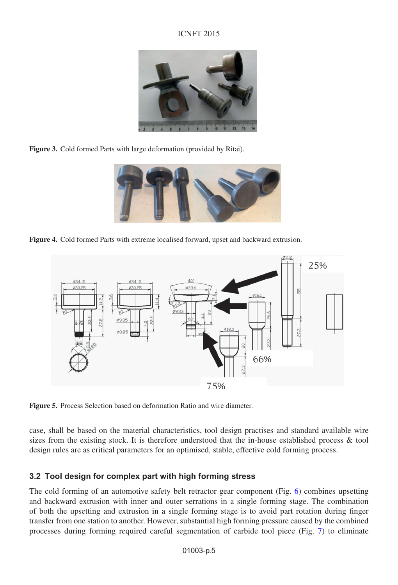### ICNFT 2015



<span id="page-4-0"></span>**Figure 3.** Cold formed Parts with large deformation (provided by Ritai).

<span id="page-4-1"></span>

**Figure 4.** Cold formed Parts with extreme localised forward, upset and backward extrusion.

<span id="page-4-2"></span>

**Figure 5.** Process Selection based on deformation Ratio and wire diameter.

case, shall be based on the material characteristics, tool design practises and standard available wire sizes from the existing stock. It is therefore understood that the in-house established process & tool design rules are as critical parameters for an optimised, stable, effective cold forming process.

### **3.2 Tool design for complex part with high forming stress**

The cold forming of an automotive safety belt retractor gear component (Fig. [6\)](#page-5-0) combines upsetting and backward extrusion with inner and outer serrations in a single forming stage. The combination of both the upsetting and extrusion in a single forming stage is to avoid part rotation during finger transfer from one station to another. However, substantial high forming pressure caused by the combined processes during forming required careful segmentation of carbide tool piece (Fig. [7\)](#page-5-1) to eliminate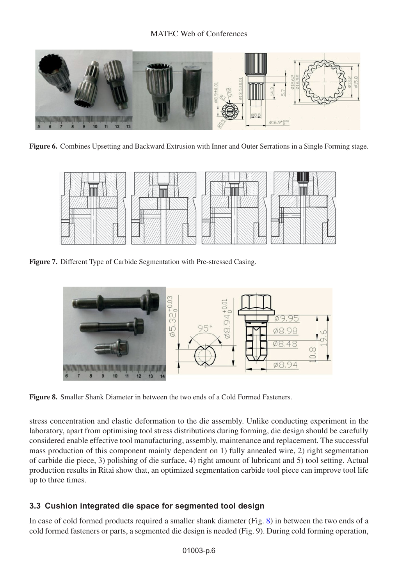<span id="page-5-0"></span>

**Figure 6.** Combines Upsetting and Backward Extrusion with Inner and Outer Serrations in a Single Forming stage.

<span id="page-5-1"></span>

<span id="page-5-2"></span>**Figure 7.** Different Type of Carbide Segmentation with Pre-stressed Casing.



**Figure 8.** Smaller Shank Diameter in between the two ends of a Cold Formed Fasteners.

stress concentration and elastic deformation to the die assembly. Unlike conducting experiment in the laboratory, apart from optimising tool stress distributions during forming, die design should be carefully considered enable effective tool manufacturing, assembly, maintenance and replacement. The successful mass production of this component mainly dependent on 1) fully annealed wire, 2) right segmentation of carbide die piece, 3) polishing of die surface, 4) right amount of lubricant and 5) tool setting. Actual production results in Ritai show that, an optimized segmentation carbide tool piece can improve tool life up to three times.

### **3.3 Cushion integrated die space for segmented tool design**

In case of cold formed products required a smaller shank diameter (Fig. [8\)](#page-5-2) in between the two ends of a cold formed fasteners or parts, a segmented die design is needed (Fig. 9). During cold forming operation,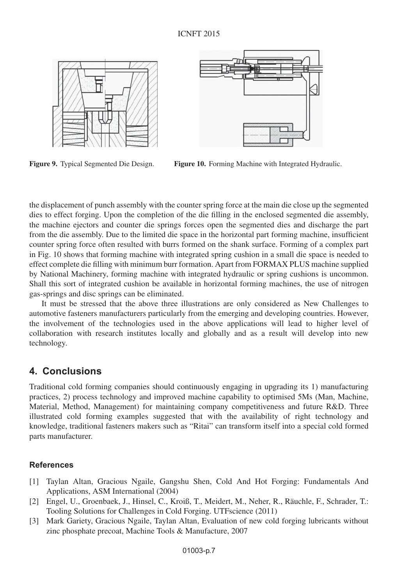

**Figure 9.** Typical Segmented Die Design. **Figure 10.** Forming Machine with Integrated Hydraulic.

the displacement of punch assembly with the counter spring force at the main die close up the segmented dies to effect forging. Upon the completion of the die filling in the enclosed segmented die assembly, the machine ejectors and counter die springs forces open the segmented dies and discharge the part from the die assembly. Due to the limited die space in the horizontal part forming machine, insufficient counter spring force often resulted with burrs formed on the shank surface. Forming of a complex part in Fig. 10 shows that forming machine with integrated spring cushion in a small die space is needed to effect complete die filling with minimum burr formation. Apart from FORMAX PLUS machine supplied by National Machinery, forming machine with integrated hydraulic or spring cushions is uncommon. Shall this sort of integrated cushion be available in horizontal forming machines, the use of nitrogen gas-springs and disc springs can be eliminated.

It must be stressed that the above three illustrations are only considered as New Challenges to automotive fasteners manufacturers particularly from the emerging and developing countries. However, the involvement of the technologies used in the above applications will lead to higher level of collaboration with research institutes locally and globally and as a result will develop into new technology.

## **4. Conclusions**

Traditional cold forming companies should continuously engaging in upgrading its 1) manufacturing practices, 2) process technology and improved machine capability to optimised 5Ms (Man, Machine, Material, Method, Management) for maintaining company competitiveness and future R&D. Three illustrated cold forming examples suggested that with the availability of right technology and knowledge, traditional fasteners makers such as "Ritai" can transform itself into a special cold formed parts manufacturer.

### **References**

- <span id="page-6-0"></span>[1] Taylan Altan, Gracious Ngaile, Gangshu Shen, Cold And Hot Forging: Fundamentals And Applications, ASM International (2004)
- [2] Engel, U., Groenbaek, J., Hinsel, C., Kroiß, T., Meidert, M., Neher, R., Räuchle, F., Schrader, T.: Tooling Solutions for Challenges in Cold Forging. UTFscience (2011)
- <span id="page-6-1"></span>[3] Mark Gariety, Gracious Ngaile, Taylan Altan, Evaluation of new cold forging lubricants without zinc phosphate precoat, Machine Tools & Manufacture, 2007